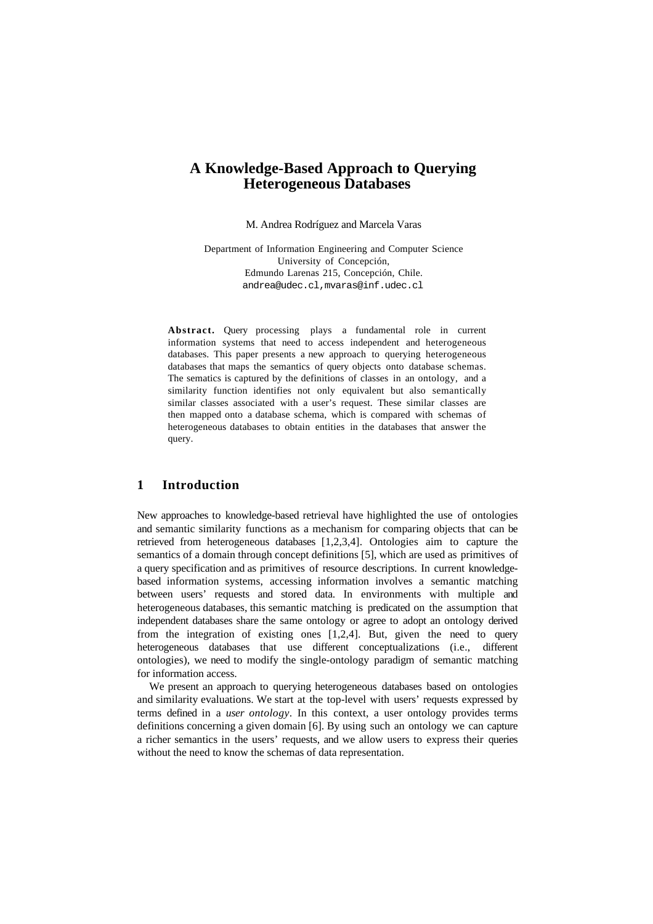# **A Knowledge-Based Approach to Querying Heterogeneous Databases**

M. Andrea Rodríguez and Marcela Varas

Department of Information Engineering and Computer Science University of Concepción, Edmundo Larenas 215, Concepción, Chile. andrea@udec.cl,mvaras@inf.udec.cl

**Abstract.** Query processing plays a fundamental role in current information systems that need to access independent and heterogeneous databases. This paper presents a new approach to querying heterogeneous databases that maps the semantics of query objects onto database schemas. The sematics is captured by the definitions of classes in an ontology, and a similarity function identifies not only equivalent but also semantically similar classes associated with a user's request. These similar classes are then mapped onto a database schema, which is compared with schemas of heterogeneous databases to obtain entities in the databases that answer the query.

## **1 Introduction**

New approaches to knowledge-based retrieval have highlighted the use of ontologies and semantic similarity functions as a mechanism for comparing objects that can be retrieved from heterogeneous databases [1,2,3,4]. Ontologies aim to capture the semantics of a domain through concept definitions [5], which are used as primitives of a query specification and as primitives of resource descriptions. In current knowledgebased information systems, accessing information involves a semantic matching between users' requests and stored data. In environments with multiple and heterogeneous databases, this semantic matching is predicated on the assumption that independent databases share the same ontology or agree to adopt an ontology derived from the integration of existing ones [1,2,4]. But, given the need to query heterogeneous databases that use different conceptualizations (i.e., different ontologies), we need to modify the single-ontology paradigm of semantic matching for information access.

We present an approach to querying heterogeneous databases based on ontologies and similarity evaluations. We start at the top-level with users' requests expressed by terms defined in a *user ontology*. In this context, a user ontology provides terms definitions concerning a given domain [6]. By using such an ontology we can capture a richer semantics in the users' requests, and we allow users to express their queries without the need to know the schemas of data representation.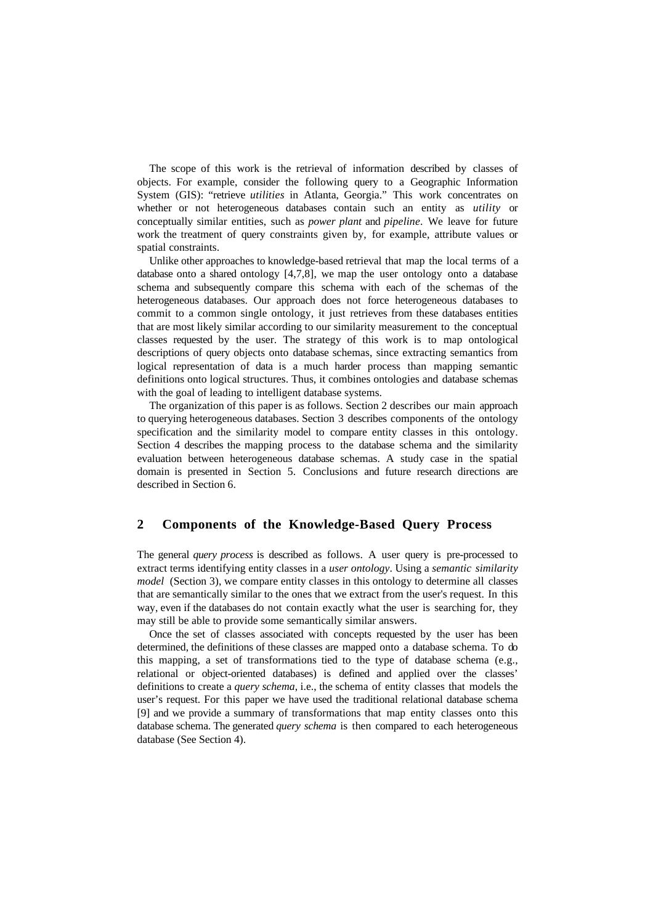The scope of this work is the retrieval of information described by classes of objects. For example, consider the following query to a Geographic Information System (GIS): "retrieve *utilities* in Atlanta, Georgia." This work concentrates on whether or not heterogeneous databases contain such an entity as *utility* or conceptually similar entities, such as *power plant* and *pipeline*. We leave for future work the treatment of query constraints given by, for example, attribute values or spatial constraints.

Unlike other approaches to knowledge-based retrieval that map the local terms of a database onto a shared ontology [4,7,8], we map the user ontology onto a database schema and subsequently compare this schema with each of the schemas of the heterogeneous databases. Our approach does not force heterogeneous databases to commit to a common single ontology, it just retrieves from these databases entities that are most likely similar according to our similarity measurement to the conceptual classes requested by the user. The strategy of this work is to map ontological descriptions of query objects onto database schemas, since extracting semantics from logical representation of data is a much harder process than mapping semantic definitions onto logical structures. Thus, it combines ontologies and database schemas with the goal of leading to intelligent database systems.

The organization of this paper is as follows. Section 2 describes our main approach to querying heterogeneous databases. Section 3 describes components of the ontology specification and the similarity model to compare entity classes in this ontology. Section 4 describes the mapping process to the database schema and the similarity evaluation between heterogeneous database schemas. A study case in the spatial domain is presented in Section 5. Conclusions and future research directions are described in Section 6.

## **2 Components of the Knowledge-Based Query Process**

The general *query process* is described as follows. A user query is pre-processed to extract terms identifying entity classes in a *user ontology*. Using a *semantic similarity model* (Section 3), we compare entity classes in this ontology to determine all classes that are semantically similar to the ones that we extract from the user's request. In this way, even if the databases do not contain exactly what the user is searching for, they may still be able to provide some semantically similar answers.

Once the set of classes associated with concepts requested by the user has been determined, the definitions of these classes are mapped onto a database schema. To do this mapping, a set of transformations tied to the type of database schema (e.g., relational or object-oriented databases) is defined and applied over the classes' definitions to create a *query schema*, i.e., the schema of entity classes that models the user's request. For this paper we have used the traditional relational database schema [9] and we provide a summary of transformations that map entity classes onto this database schema. The generated *query schema* is then compared to each heterogeneous database (See Section 4).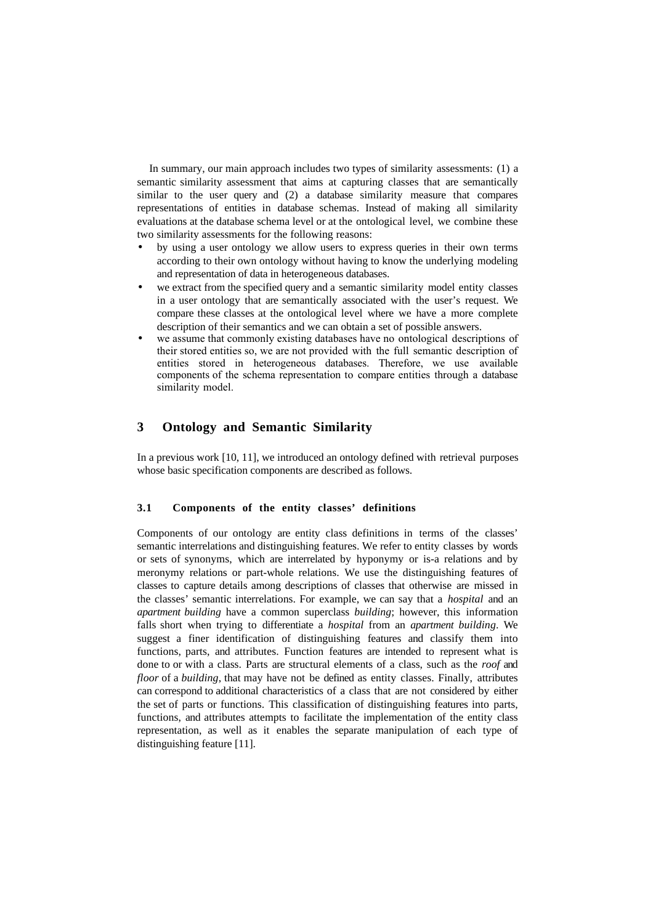In summary, our main approach includes two types of similarity assessments: (1) a semantic similarity assessment that aims at capturing classes that are semantically similar to the user query and (2) a database similarity measure that compares representations of entities in database schemas. Instead of making all similarity evaluations at the database schema level or at the ontological level, we combine these two similarity assessments for the following reasons:

- by using a user ontology we allow users to express queries in their own terms according to their own ontology without having to know the underlying modeling and representation of data in heterogeneous databases.
- we extract from the specified query and a semantic similarity model entity classes in a user ontology that are semantically associated with the user's request. We compare these classes at the ontological level where we have a more complete description of their semantics and we can obtain a set of possible answers.
- we assume that commonly existing databases have no ontological descriptions of their stored entities so, we are not provided with the full semantic description of entities stored in heterogeneous databases. Therefore, we use available components of the schema representation to compare entities through a database similarity model.

### **3 Ontology and Semantic Similarity**

In a previous work [10, 11], we introduced an ontology defined with retrieval purposes whose basic specification components are described as follows.

#### **3.1 Components of the entity classes' definitions**

Components of our ontology are entity class definitions in terms of the classes' semantic interrelations and distinguishing features. We refer to entity classes by words or sets of synonyms, which are interrelated by hyponymy or is-a relations and by meronymy relations or part-whole relations. We use the distinguishing features of classes to capture details among descriptions of classes that otherwise are missed in the classes' semantic interrelations. For example, we can say that a *hospital* and an *apartment building* have a common superclass *building*; however, this information falls short when trying to differentiate a *hospital* from an *apartment building*. We suggest a finer identification of distinguishing features and classify them into functions, parts, and attributes. Function features are intended to represent what is done to or with a class. Parts are structural elements of a class, such as the *roof* and *floor* of a *building*, that may have not be defined as entity classes. Finally, attributes can correspond to additional characteristics of a class that are not considered by either the set of parts or functions. This classification of distinguishing features into parts, functions, and attributes attempts to facilitate the implementation of the entity class representation, as well as it enables the separate manipulation of each type of distinguishing feature [11].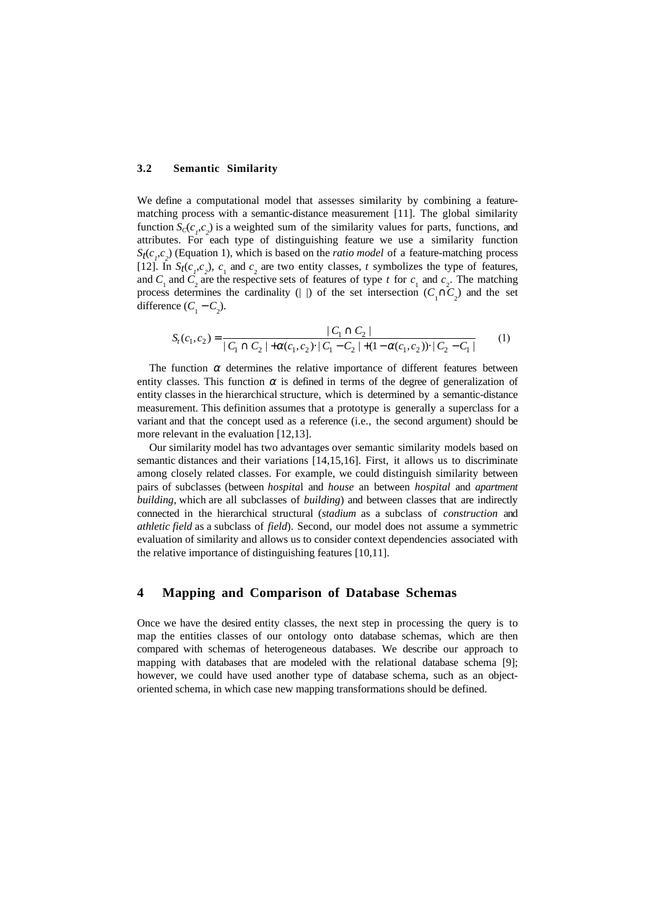#### **3.2 Semantic Similarity**

We define a computational model that assesses similarity by combining a featurematching process with a semantic-distance measurement [11]. The global similarity function  $S_c(c_i, c_2)$  is a weighted sum of the similarity values for parts, functions, and attributes. For each type of distinguishing feature we use a similarity function  $S_t(c_1, c_2)$  (Equation 1), which is based on the *ratio model* of a feature-matching process [12]. In  $S_t(c_i, c_2)$ ,  $c_1$  and  $c_2$  are two entity classes, *t* symbolizes the type of features, and  $C_1$  and  $C_2$  are the respective sets of features of type *t* for  $c_1$  and  $c_2$ . The matching process determines the cardinality ( $| \cdot |$ ) of the set intersection  $(C_1 \cap C_2)$  and the set difference  $(C_1 - C_2)$ .

$$
S_t(c_1, c_2) = \frac{|C_1 \cap C_2|}{|C_1 \cap C_2| + \alpha(c_1, c_2) \cdot |C_1 - C_2| + (1 - \alpha(c_1, c_2)) \cdot |C_2 - C_1|}
$$
(1)

The function  $\alpha$  determines the relative importance of different features between entity classes. This function  $\alpha$  is defined in terms of the degree of generalization of entity classes in the hierarchical structure, which is determined by a semantic-distance measurement. This definition assumes that a prototype is generally a superclass for a variant and that the concept used as a reference (i.e., the second argument) should be more relevant in the evaluation [12,13].

Our similarity model has two advantages over semantic similarity models based on semantic distances and their variations [14,15,16]. First, it allows us to discriminate among closely related classes. For example, we could distinguish similarity between pairs of subclasses (between *hospita*l and *house* an between *hospital* and *apartment building*, which are all subclasses of *building*) and between classes that are indirectly connected in the hierarchical structural (*stadium* as a subclass of *construction* and *athletic field* as a subclass of *field*). Second, our model does not assume a symmetric evaluation of similarity and allows us to consider context dependencies associated with the relative importance of distinguishing features [10,11].

### **4 Mapping and Comparison of Database Schemas**

Once we have the desired entity classes, the next step in processing the query is to map the entities classes of our ontology onto database schemas, which are then compared with schemas of heterogeneous databases. We describe our approach to mapping with databases that are modeled with the relational database schema [9]; however, we could have used another type of database schema, such as an objectoriented schema, in which case new mapping transformations should be defined.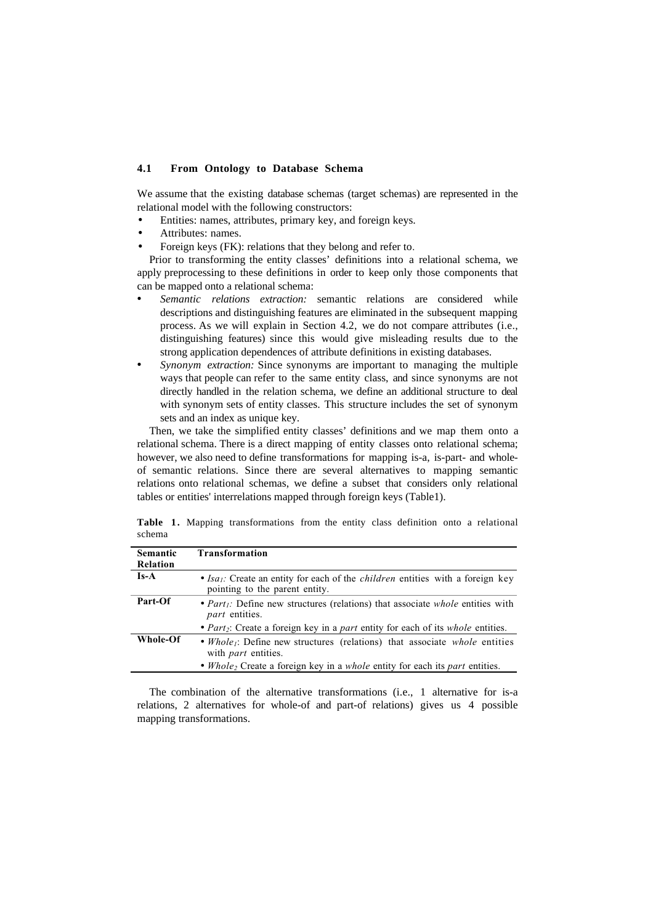#### **4.1 From Ontology to Database Schema**

We assume that the existing database schemas (target schemas) are represented in the relational model with the following constructors:

- Entities: names, attributes, primary key, and foreign keys.
- Attributes: names.
- Foreign keys (FK): relations that they belong and refer to.

Prior to transforming the entity classes' definitions into a relational schema, we apply preprocessing to these definitions in order to keep only those components that can be mapped onto a relational schema:

- *Semantic relations extraction:* semantic relations are considered while descriptions and distinguishing features are eliminated in the subsequent mapping process. As we will explain in Section 4.2, we do not compare attributes (i.e., distinguishing features) since this would give misleading results due to the strong application dependences of attribute definitions in existing databases.
- *Synonym extraction:* Since synonyms are important to managing the multiple ways that people can refer to the same entity class, and since synonyms are not directly handled in the relation schema, we define an additional structure to deal with synonym sets of entity classes. This structure includes the set of synonym sets and an index as unique key.

Then, we take the simplified entity classes' definitions and we map them onto a relational schema. There is a direct mapping of entity classes onto relational schema; however, we also need to define transformations for mapping is-a, is-part- and wholeof semantic relations. Since there are several alternatives to mapping semantic relations onto relational schemas, we define a subset that considers only relational tables or entities' interrelations mapped through foreign keys (Table1).

| <b>Semantic</b><br>Relation | <b>Transformation</b>                                                                                                               |
|-----------------------------|-------------------------------------------------------------------------------------------------------------------------------------|
| $Is-A$                      | • Isa <sub>l</sub> : Create an entity for each of the <i>children</i> entities with a foreign key<br>pointing to the parent entity. |
| Part-Of                     | • $Part_1$ : Define new structures (relations) that associate <i>whole</i> entities with<br><i>part</i> entities.                   |
|                             | • Part <sub>2</sub> : Create a foreign key in a part entity for each of its whole entities.                                         |
| Whole-Of                    | • Whole <sub>l</sub> : Define new structures (relations) that associate <i>whole</i> entities<br>with <i>part</i> entities.         |
|                             | • Whole, Create a foreign key in a <i>whole</i> entity for each its <i>part</i> entities.                                           |

**Table 1.** Mapping transformations from the entity class definition onto a relational schema

The combination of the alternative transformations (i.e., 1 alternative for is-a relations, 2 alternatives for whole-of and part-of relations) gives us 4 possible mapping transformations.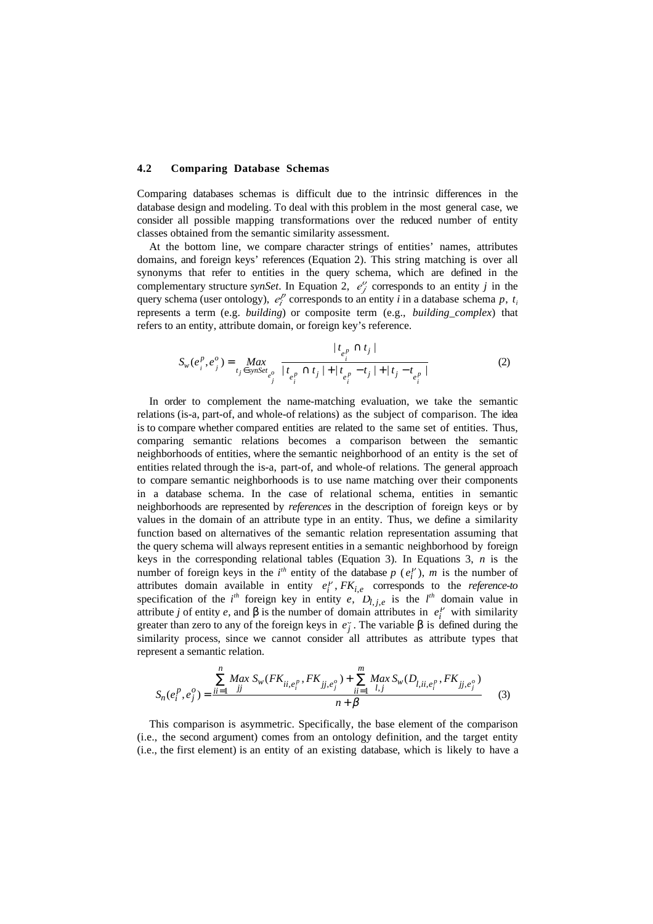#### **4.2 Comparing Database Schemas**

Comparing databases schemas is difficult due to the intrinsic differences in the database design and modeling. To deal with this problem in the most general case, we consider all possible mapping transformations over the reduced number of entity classes obtained from the semantic similarity assessment.

At the bottom line, we compare character strings of entities' names, attributes domains, and foreign keys' references (Equation 2). This string matching is over all synonyms that refer to entities in the query schema, which are defined in the complementary structure *synSet*. In Equation 2,  $e_j^{\prime\prime}$  corresponds to an entity *j* in the query schema (user ontology),  $e_i^p$  corresponds to an entity *i* in a database schema *p*,  $t_i$ represents a term (e.g. *building*) or composite term (e.g., *building\_complex*) that refers to an entity, attribute domain, or foreign key's reference.

$$
S_w(e_i^p, e_j^o) = \max_{t_j \in synSet_{e_j^o}} \left[ \frac{|t_{e_i^p} \cap t_j|}{|t_{e_i^p} \cap t_j| + |t_{e_i^p} - t_j| + |t_j - t_{e_i^p}|} \right]
$$
(2)

In order to complement the name-matching evaluation, we take the semantic relations (is-a, part-of, and whole-of relations) as the subject of comparison. The idea is to compare whether compared entities are related to the same set of entities. Thus, comparing semantic relations becomes a comparison between the semantic neighborhoods of entities, where the semantic neighborhood of an entity is the set of entities related through the is-a, part-of, and whole-of relations. The general approach to compare semantic neighborhoods is to use name matching over their components in a database schema. In the case of relational schema, entities in semantic neighborhoods are represented by *references* in the description of foreign keys or by values in the domain of an attribute type in an entity. Thus, we define a similarity function based on alternatives of the semantic relation representation assuming that the query schema will always represent entities in a semantic neighborhood by foreign keys in the corresponding relational tables (Equation 3). In Equations 3, *n* is the number of foreign keys in the *i*<sup>th</sup> entity of the database  $p(e_i^p)$ , *m* is the number of attributes domain available in entity  $e_i^p$ ,  $FK_{i,e}$  corresponds to the *reference-to* specification of the *i*<sup>th</sup> foreign key in entity *e*,  $D_{l,j,e}$  is the *l*<sup>th</sup> domain value in attribute *j* of entity *e*, and  $\beta$  is the number of domain attributes in  $e_i^p$  with similarity greater than zero to any of the foreign keys in  $e_j^{\prime}$ . The variable  $\beta$  is defined during the similarity process, since we cannot consider all attributes as attribute types that represent a semantic relation.

$$
S_n(e_i^p, e_j^o) = \frac{\sum_{ii=1}^n Max \ S_w(FK_{ii, e_i^p}, FK_{jj, e_j^o}) + \sum_{ii=1}^m Max \ S_w(D_{l, ii, e_i^p}, FK_{jj, e_j^o})}{n + \beta}
$$
(3)

This comparison is asymmetric. Specifically, the base element of the comparison (i.e., the second argument) comes from an ontology definition, and the target entity (i.e., the first element) is an entity of an existing database, which is likely to have a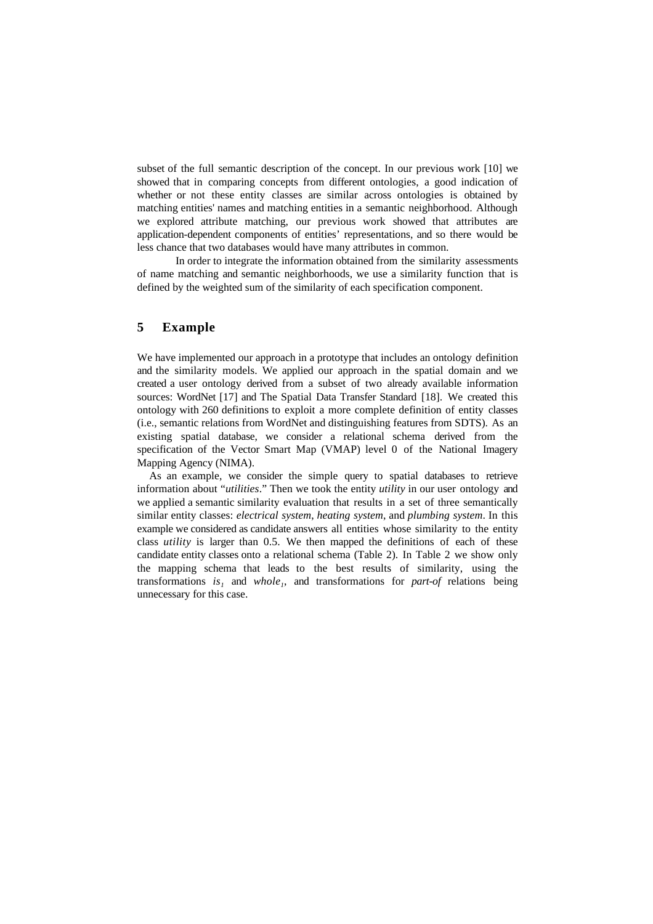subset of the full semantic description of the concept. In our previous work [10] we showed that in comparing concepts from different ontologies, a good indication of whether or not these entity classes are similar across ontologies is obtained by matching entities' names and matching entities in a semantic neighborhood. Although we explored attribute matching, our previous work showed that attributes are application-dependent components of entities' representations, and so there would be less chance that two databases would have many attributes in common.

In order to integrate the information obtained from the similarity assessments of name matching and semantic neighborhoods, we use a similarity function that is defined by the weighted sum of the similarity of each specification component.

### **5 Example**

We have implemented our approach in a prototype that includes an ontology definition and the similarity models. We applied our approach in the spatial domain and we created a user ontology derived from a subset of two already available information sources: WordNet [17] and The Spatial Data Transfer Standard [18]. We created this ontology with 260 definitions to exploit a more complete definition of entity classes (i.e., semantic relations from WordNet and distinguishing features from SDTS). As an existing spatial database, we consider a relational schema derived from the specification of the Vector Smart Map (VMAP) level 0 of the National Imagery Mapping Agency (NIMA).

As an example, we consider the simple query to spatial databases to retrieve information about "*utilities*." Then we took the entity *utility* in our user ontology and we applied a semantic similarity evaluation that results in a set of three semantically similar entity classes: *electrical system*, *heating system*, and *plumbing system*. In this example we considered as candidate answers all entities whose similarity to the entity class *utility* is larger than 0.5. We then mapped the definitions of each of these candidate entity classes onto a relational schema (Table 2). In Table 2 we show only the mapping schema that leads to the best results of similarity, using the transformations  $is_1$  and  $whole_1$ , and transformations for *part-of* relations being unnecessary for this case.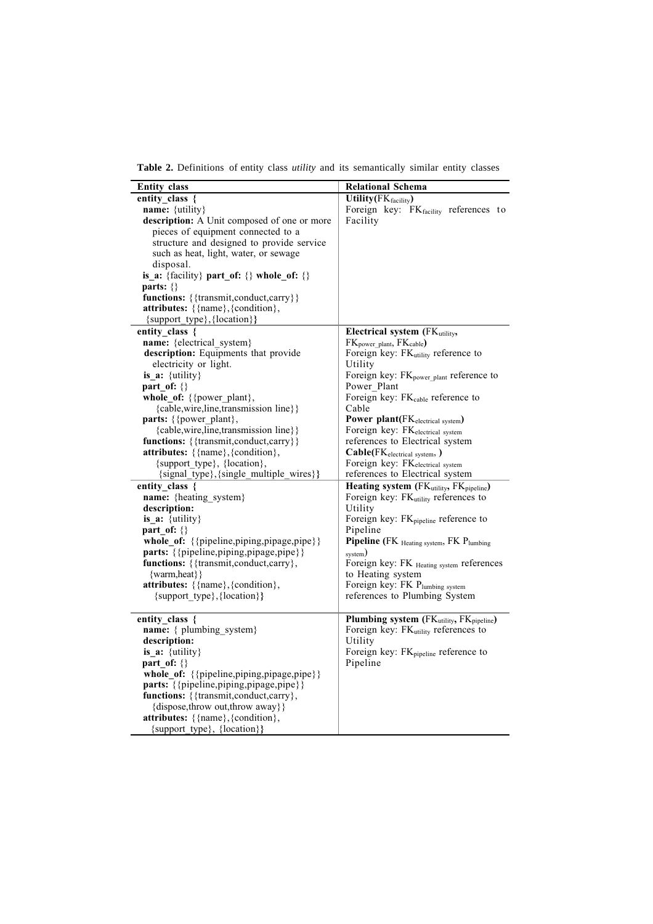**Table 2.** Definitions of entity class *utility* and its semantically similar entity classes

| Entity class                                                                                                    | <b>Relational Schema</b>                                      |  |  |
|-----------------------------------------------------------------------------------------------------------------|---------------------------------------------------------------|--|--|
| entity class {                                                                                                  | Utility $(FK_{\text{facility}})$                              |  |  |
| <b>name:</b> $\{utility\}$                                                                                      | Foreign key: FK <sub>facility</sub> references to             |  |  |
| description: A Unit composed of one or more                                                                     | Facility                                                      |  |  |
| pieces of equipment connected to a                                                                              |                                                               |  |  |
| structure and designed to provide service                                                                       |                                                               |  |  |
| such as heat, light, water, or sewage                                                                           |                                                               |  |  |
| disposal.                                                                                                       |                                                               |  |  |
| is_a: {facility} part_of: {} whole_of: {}                                                                       |                                                               |  |  |
| parts: $\{\}$                                                                                                   |                                                               |  |  |
| functions: { {transmit, conduct, carry } }                                                                      |                                                               |  |  |
| <b>attributes:</b> $\{\{\text{name}\},\{\text{condition}\}\},\$                                                 |                                                               |  |  |
| {support_type}, {location}}                                                                                     |                                                               |  |  |
| entity class {                                                                                                  | Electrical system (FKutility,                                 |  |  |
| <b>name:</b> {electrical system}                                                                                | $FK_{power\ plant}, FK_{cable})$                              |  |  |
| description: Equipments that provide                                                                            | Foreign key: FKutility reference to                           |  |  |
| electricity or light.                                                                                           | Utility                                                       |  |  |
| is $a:$ {utility}                                                                                               | Foreign key: FK <sub>power plant</sub> reference to           |  |  |
| part of: $\{\}$                                                                                                 | Power Plant                                                   |  |  |
| whole_of: {{power_plant},                                                                                       | Foreign key: FKcable reference to                             |  |  |
| {cable,wire,line,transmission line}}                                                                            | Cable                                                         |  |  |
| <b>parts:</b> { $\{power\ plant\}$ ,                                                                            | <b>Power plant</b> (FK <sub>electrical system)</sub>          |  |  |
| {cable,wire,line,transmission line}}                                                                            | Foreign key: FKelectrical system                              |  |  |
| <b>functions:</b> { {transmit, conduct, carry } }                                                               | references to Electrical system                               |  |  |
| attributes: {{name}, {condition},                                                                               | $\mathbf{Cable}(\mathrm{FK}_{\mathrm{electrical\ system}},$ ) |  |  |
| {support_type}, {location},                                                                                     | Foreign key: FKelectrical system                              |  |  |
| {signal_type}, {single_multiple_wires}}                                                                         | references to Electrical system                               |  |  |
| entity class {                                                                                                  | <b>Heating system (FK</b> utility, FK <sub>pipeline</sub> )   |  |  |
| name: {heating_system}                                                                                          | Foreign key: FKutility references to                          |  |  |
| description:                                                                                                    | Utility                                                       |  |  |
| is $a:$ {utility}                                                                                               | Foreign key: FK <sub>pipeline</sub> reference to              |  |  |
| $part_of: \{\}$                                                                                                 | Pipeline                                                      |  |  |
| whole_of: {{pipeline,piping,pipage,pipe}}                                                                       | Pipeline (FK Heating system, FK Plumbing                      |  |  |
| parts: { {pipeline, piping, pipage, pipe} }                                                                     | system)                                                       |  |  |
| <b>functions:</b> { $\{ \{ \text{transmit}, \text{conduct}, \text{carry} \} \}$                                 | Foreign key: FK Heating system references                     |  |  |
| $\{warm, heat\}$                                                                                                | to Heating system                                             |  |  |
| attributes: {{name}, {condition},                                                                               | Foreign key: FK Plumbing system                               |  |  |
| {support_type}, {location}}                                                                                     | references to Plumbing System                                 |  |  |
|                                                                                                                 |                                                               |  |  |
| entity_class {                                                                                                  | Plumbing system (FKutility, FKpipeline)                       |  |  |
| name: { plumbing_system}                                                                                        | Foreign key: FKutility references to                          |  |  |
| description:                                                                                                    | Utility                                                       |  |  |
| is $a:$ {utility}                                                                                               | Foreign key: FKpipeline reference to                          |  |  |
| part of: $\{\}$                                                                                                 | Pipeline                                                      |  |  |
| whole_of: {{pipeline,piping,pipage,pipe}}                                                                       |                                                               |  |  |
| parts: { {pipeline, piping, pipage, pipe} }                                                                     |                                                               |  |  |
|                                                                                                                 |                                                               |  |  |
|                                                                                                                 |                                                               |  |  |
| {support_type}, {location}}                                                                                     |                                                               |  |  |
| functions: {{transmit,conduct,carry},<br>{dispose, throw out, throw away}}<br>attributes: {{name}, {condition}, |                                                               |  |  |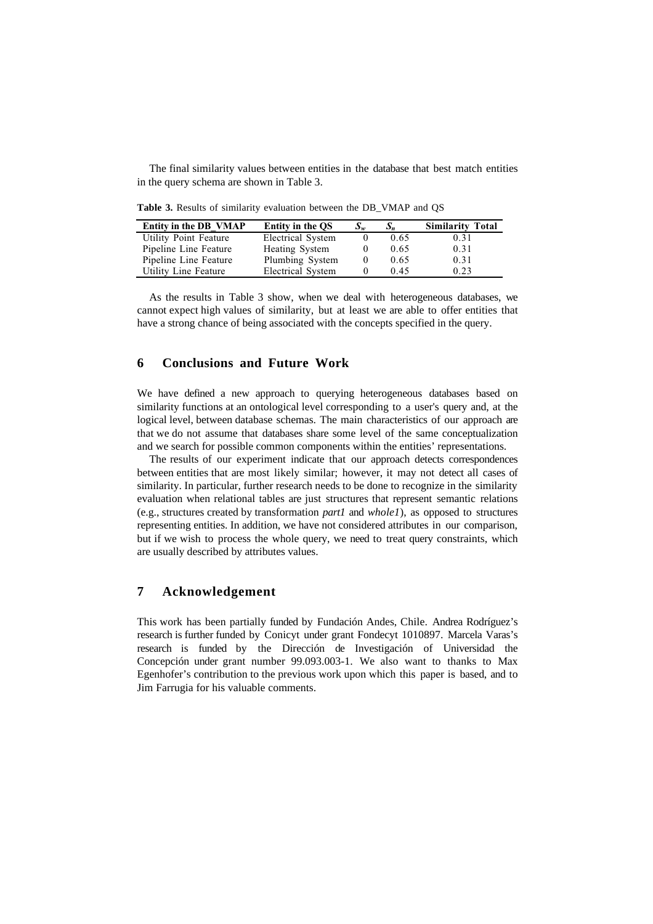The final similarity values between entities in the database that best match entities in the query schema are shown in Table 3.

**Table 3.** Results of similarity evaluation between the DB\_VMAP and QS

| Entity in the DB VMAP | Entity in the QS         | $S_w$ | $S_n$ | <b>Similarity Total</b> |
|-----------------------|--------------------------|-------|-------|-------------------------|
| Utility Point Feature | <b>Electrical System</b> |       | 0.65  | 0.31                    |
| Pipeline Line Feature | Heating System           |       | 0.65  | 0.31                    |
| Pipeline Line Feature | Plumbing System          |       | 0.65  | 0.31                    |
| Utility Line Feature  | <b>Electrical System</b> |       | 0.45  | 0.23                    |

As the results in Table 3 show, when we deal with heterogeneous databases, we cannot expect high values of similarity, but at least we are able to offer entities that have a strong chance of being associated with the concepts specified in the query.

### **6 Conclusions and Future Work**

We have defined a new approach to querying heterogeneous databases based on similarity functions at an ontological level corresponding to a user's query and, at the logical level, between database schemas. The main characteristics of our approach are that we do not assume that databases share some level of the same conceptualization and we search for possible common components within the entities' representations.

The results of our experiment indicate that our approach detects correspondences between entities that are most likely similar; however, it may not detect all cases of similarity. In particular, further research needs to be done to recognize in the similarity evaluation when relational tables are just structures that represent semantic relations (e.g., structures created by transformation *part1* and *whole1*), as opposed to structures representing entities. In addition, we have not considered attributes in our comparison, but if we wish to process the whole query, we need to treat query constraints, which are usually described by attributes values.

### **7 Acknowledgement**

This work has been partially funded by Fundación Andes, Chile. Andrea Rodríguez's research is further funded by Conicyt under grant Fondecyt 1010897. Marcela Varas's research is funded by the Dirección de Investigación of Universidad the Concepción under grant number 99.093.003-1. We also want to thanks to Max Egenhofer's contribution to the previous work upon which this paper is based, and to Jim Farrugia for his valuable comments.